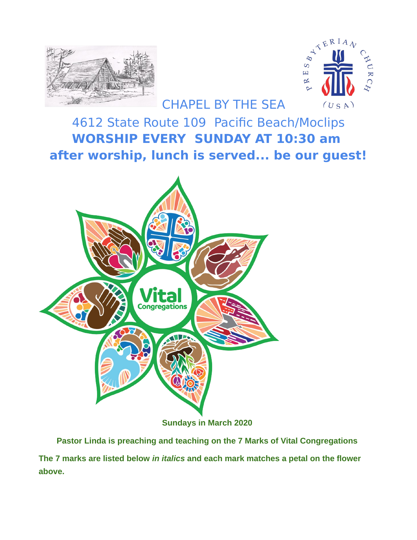



## 4612 State Route 109 Pacific Beach/Moclips **WORSHIP EVERY SUNDAY AT 10:30 am after worship, lunch is served... be our guest!**



**Sundays in March 2020**

**Pastor Linda is preaching and teaching on the 7 Marks of Vital Congregations** 

**The 7 marks are listed below** *in italics* **and each mark matches a petal on the flower above.**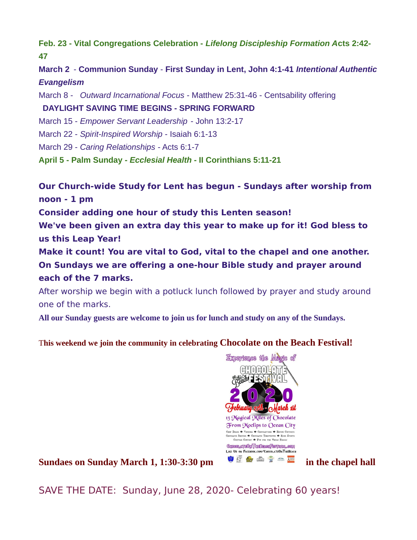**Feb. 23 - Vital Congregations Celebration -** *Lifelong Discipleship Formation A***cts 2:42- 47**

**March 2** - **Communion Sunday** - **First Sunday in Lent, John 4:1-41** *Intentional Authentic Evangelism*

March 8 - *Outward Incarnational Focus* - Matthew 25:31-46 - Centsability offering

**DAYLIGHT SAVING TIME BEGINS - SPRING FORWARD**

March 15 - *Empower Servant Leadership* - John 13:2-17

March 22 - *Spirit-Inspired Worship* - Isaiah 6:1-13

March 29 - *Caring Relationships* - Acts 6:1-7

**April 5 - Palm Sunday -** *Ecclesial Health* **- II Corinthians 5:11-21**

**Our Church-wide Study for Lent has begun - Sundays after worship from noon - 1 pm**

**Consider adding one hour of study this Lenten season!** 

**We've been given an extra day this year to make up for it! God bless to us this Leap Year!** 

**Make it count! You are vital to God, vital to the chapel and one another. On Sundays we are offering a one-hour Bible study and prayer around each of the 7 marks.**

After worship we begin with a potluck lunch followed by prayer and study around one of the marks.

**All our Sunday guests are welcome to join us for lunch and study on any of the Sundays.**

T**his weekend we join the community in celebrating Chocolate on the Beach Festival!**



**Sundaes on Sunday March 1, 1:30-3:30 pm in the chapel hall** 

SAVE THE DATE: Sunday, June 28, 2020- Celebrating 60 years!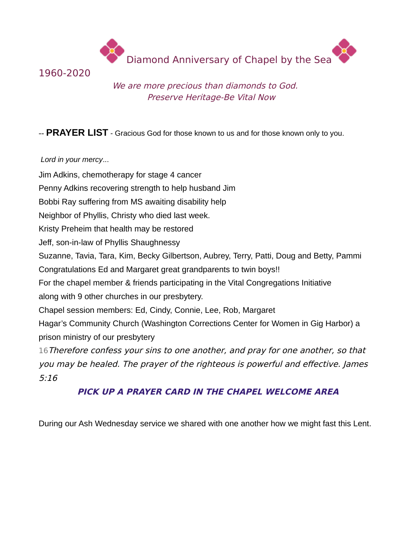Diamond Anniversary of Chapel by the Sea



We are more precious than diamonds to God. Preserve Heritage-Be Vital Now

#### -- **PRAYER LIST** - Gracious God for those known to us and for those known only to you.

#### *Lord in your mercy*...

Jim Adkins, chemotherapy for stage 4 cancer Penny Adkins recovering strength to help husband Jim Bobbi Ray suffering from MS awaiting disability help Neighbor of Phyllis, Christy who died last week. Kristy Preheim that health may be restored Jeff, son-in-law of Phyllis Shaughnessy Suzanne, Tavia, Tara, Kim, Becky Gilbertson, Aubrey, Terry, Patti, Doug and Betty, Pammi Congratulations Ed and Margaret great grandparents to twin boys!! For the chapel member & friends participating in the Vital Congregations Initiative along with 9 other churches in our presbytery. Chapel session members: Ed, Cindy, Connie, Lee, Rob, Margaret Hagar's Community Church (Washington Corrections Center for Women in Gig Harbor) a prison ministry of our presbytery 16Therefore confess your sins to one another, and pray for one another, so that you may be healed. The prayer of the righteous is powerful and effective. James 5:16

### **PICK UP A PRAYER CARD IN THE CHAPEL WELCOME AREA**

During our Ash Wednesday service we shared with one another how we might fast this Lent.